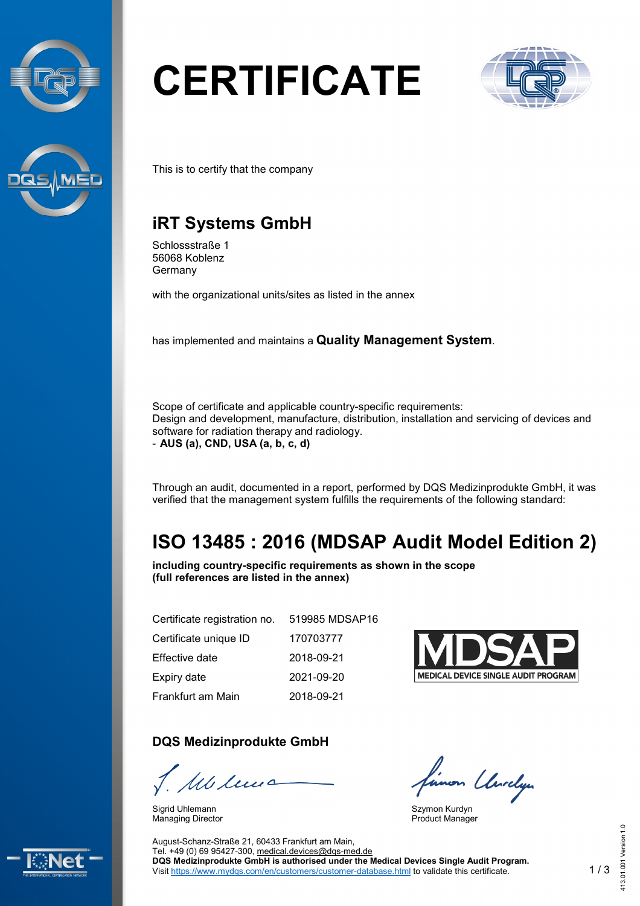



# **CERTIFICATE**



This is to certify that the company

## **iRT Systems GmbH**

Schlossstraße 1 56068 Koblenz Germany

with the organizational units/sites as listed in the annex

has implemented and maintains a **Quality Management System**.

Scope of certificate and applicable country-specific requirements: Design and development, manufacture, distribution, installation and servicing of devices and software for radiation therapy and radiology. - **AUS (a), CND, USA (a, b, c, d)**

Through an audit, documented in a report, performed by DQS Medizinprodukte GmbH, it was verified that the management system fulfills the requirements of the following standard:

## **ISO 13485 : 2016 (MDSAP Audit Model Edition 2)**

**including country-specific requirements as shown in the scope (full references are listed in the annex)**

| Certificate registration no. | 519985 MDSAP16 |
|------------------------------|----------------|
| Certificate unique ID        | 170703777      |
| Effective date               | 2018-09-21     |
| Expiry date                  | 2021-09-20     |
| Frankfurt am Main            | 2018-09-21     |

### **DQS Medizinprodukte GmbH**

1 Milions

Sigrid Uhlemann Managing Director



linon Unrelyn

Szymon Kurdyn Product Manager



August-Schanz-Straße 21, 60433 Frankfurt am Main, Tel. +49 (0) 69 95427-300, [medical.devices@dqs-med.de](mailto:medical.devices@dqs-med.de) **DQS Medizinprodukte GmbH is authorised under the Medical Devices Single Audit Program.** Visit <https://www.mydqs.com/en/customers/customer-database.html> to validate this certificate.

413.01.001 Version 1.0

 $1.0$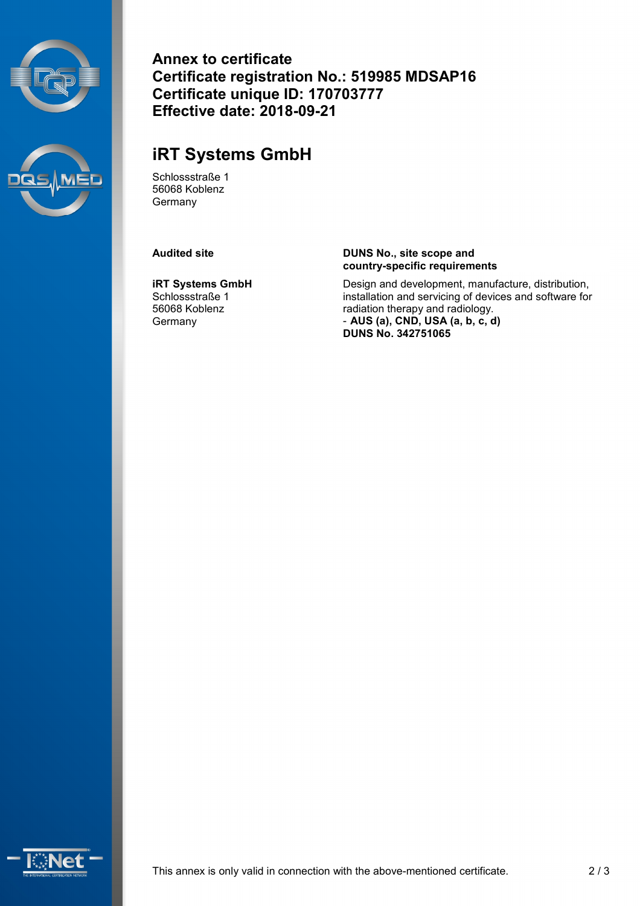



**Annex to certificate Certificate registration No.: 519985 MDSAP16 Certificate unique ID: 170703777 Effective date: 2018-09-21**

## **iRT Systems GmbH**

Schlossstraße 1 56068 Koblenz Germany

**iRT Systems GmbH** Schlossstraße 1 56068 Koblenz **Germany** 

#### **Audited site DUNS No., site scope and country-specific requirements**

Design and development, manufacture, distribution, installation and servicing of devices and software for radiation therapy and radiology. - **AUS (a), CND, USA (a, b, c, d) DUNS No. 342751065**